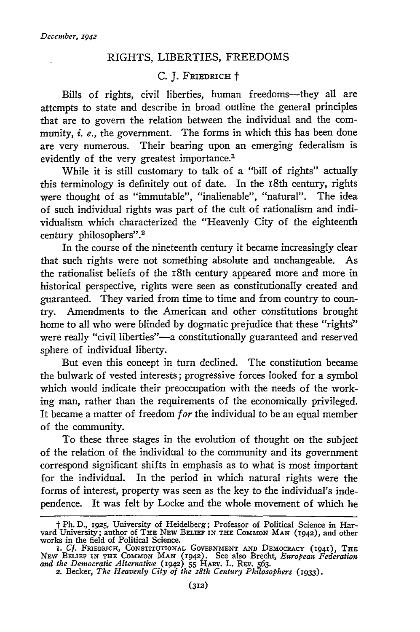## RIGHTS, LIBERTIES, FREEDOMS

## C. J. FRIEDRICH +

Bills of rights, civil liberties, human freedoms-they all are attempts to state and describe in broad outline the general principles that are to govern the relation between the individual and the community, *i. e.*, the government. The forms in which this has been done are very numerous. Their bearing upon an emerging federalism is evidently of the very greatest importance.1

While it is still customary to talk of a "bill of rights" actually this terminology is definitely out of date. In the 18th century, rights were thought of as "immutable", "inalienable", "natural". The idea of such individual rights was part of the cult of rationalism and individualism which characterized the "Heavenly City of the eighteenth century philosophers".<sup>2</sup>

In the course of the nineteenth century it became increasingly clear that such rights were not something absolute and unchangeable. As the rationalist beliefs of the I8th century appeared more and more in historical perspective, rights were seen as constitutionally created and guaranteed. They varied from time to time and from country to country. Amendments to the American and other constitutions brought home to all who were blinded by dogmatic prejudice that these "rights"' were really "civil liberties"-a constitutionally guaranteed and reserved sphere of individual liberty.

But even this concept in turn declined. The constitution became the bulwark of vested interests; progressive forces looked for a symbol which would indicate their preoccupation with the needs of the working man, rather than the requirements of the economically privileged. It became a matter of freedom for the individual to be an equal member of the community.

To these three stages in the evolution of thought on the subject of the relation of the individual to the community and its government correspond significant shifts in emphasis as to what is most important for the individual. In the period in which natural rights were the forms of interest, property was seen as the key to the individual's independence. It was felt by Locke and the whole movement of which he

t Ph. **D.,** 1925, University of Heidelberg; Professor of Political Science in Harvard University; author of THE **Naw BELIEF** IN **THE COMMON MAN** (1942), and other works in the field of Political Science.

**I.** *Cf.* FRIEDRICH, CONSTITUTIONAL GOVERNMENT **AND DEMOCRACY** (1941), **THE** NEW BELIEF **IN THE COMMON MAN** (1942). See also Brecht, *European Federation and the Democratic Alternative (942)* **55** HARV. L. **REV.** 563.

<sup>2.</sup> Becker, *The Heavenly City of the 18th Century Philosophers* (1933)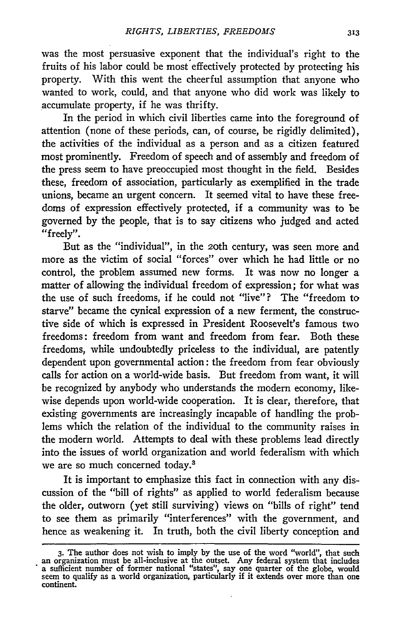was the most persuasive exponent that the individual's right to the fruits of his labor could be most effectively protected by protecting his property. With this went the cheerful assumption that anyone who wanted to work, could, and that anyone who did work was likely to accumulate property, if he was thrifty.

In the period in which civil liberties came into the foreground of attention (none of these periods, can, of course, be rigidly delimited), the activities of the individual as a person and as a citizen featured most prominently. Freedom of speech and of assembly and freedom of the press seem to have preoccupied most thought in the field. Besides these, freedom of association, particularly as exemplified in the trade unions, became an urgent concern. It seemed vital to have these freedoms of expression effectively protected, if a community was to be governed by the people, that is to say citizens who judged and acted "freely".

But as the "individual", in the 2oth century, was seen more and more as the victim of social "forces" over which he had little or no control, the problem assumed new forms. It was now no longer a matter of allowing the individual freedom of expression; for what was the use of such freedoms, if he could not "live"? The "freedom to starve" became the cynical expression of a new ferment, the constructive side of which is expressed in President Roosevelt's famous two freedoms: freedom from want and freedom from fear. Both these freedoms, while undoubtedly priceless to the individual, are patently dependent upon governmental action: the freedom from fear obviously calls for action on a world-wide basis. But freedom from want, it will be recognized by anybody who understands the modern economy, likewise depends upon world-wide cooperation. It is clear, therefore, that existing governments are increasingly incapable of handling the problems which the relation of the individual to the community raises in the modern world. Attempts to deal with these problems lead directly into the issues of world organization and world federalism with which we are so much concerned today.<sup>3</sup>

It is important to emphasize this fact in connection with any discussion of the "bill of rights" as applied to world federalism because the older, outworn (yet still surviving) views on "bills of right" tend to see them as primarily "interferences" with the government, and hence as weakening it. In truth, both the civil liberty conception and

<sup>3.</sup> The author does not wish to imply by the use of the word "world", that such<br>an organization must be all-inclusive at the outset. Any federal system that includes<br>a sufficient number of former national "states", say one seem to qualify as a world organization, particularly if it extends over more than one continent.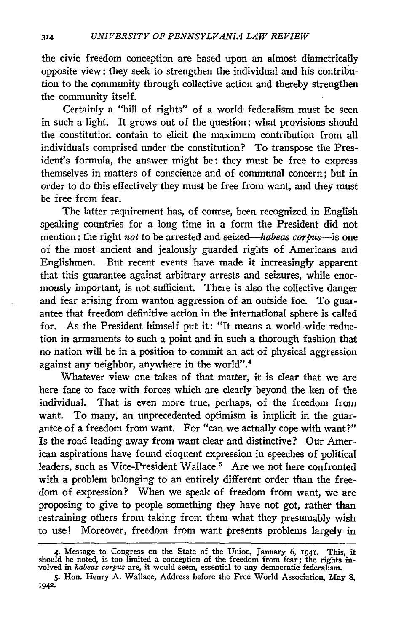the civic freedom conception are based upon an almost diametrically opposite view: they seek to strengthen the individual and his contribution to the community through collective action and thereby strengthen the community itself.

Certainly a "bill of rights" of a world federalism must be seen in such a light. It grows out of the question: what provisions should the constitution contain to elicit the maximum contribution from all individuals comprised under the constitution? To transpose the President's formula, the answer might be: they must be free to express themselves in matters of conscience and of communal concern; but in order to do this effectively they must be free from want, and they must be free from fear.

The latter requirement has, of course, been recognized in English speaking countries for a long time in a form the President did not mention: the right *not* to be arrested and seized—habeas corpus—is one of the most ancient and jealously guarded rights of Americans and Englishmen. But recent events have made it increasingly apparent that this guarantee against arbitrary arrests and seizures, while enormously important, is not sufficient. There is also the collective danger and fear arising from wanton aggression of an outside foe. To guarantee that freedom definitive action in the international sphere is called for. As the President himself put it: "It means a world-wide reduction in armaments to such a point and in such a thorough fashion that no nation will be in a position to commit an act of physical aggression against any neighbor, anywhere in the world".<sup>4</sup>

Whatever view one takes of that matter, it is clear that we are here face to face with forces which are clearly beyond the ken of the individual. That is even more true, perhaps, of the freedom from want. To many, an unprecedented optimism is implicit in the guarantee of a freedom from want. For "can we actually cope with want?" Is the road leading away from want clear and distinctive? Our American aspirations have found eloquent expression in speeches of political leaders, such as Vice-President Wallace.<sup>5</sup> Are we not here confronted with a problem belonging to an entirely different order than the freedom of expression? When we speak of freedom from want, we are proposing to give to people something they have not got, rather than restraining others from taking from them what they presumably wish to use! Moreover, freedom from want presents problems largely in

<sup>4.</sup> Message to Congress on the State of the Union, January 6, 1941. This, it should be noted, is too limited a conception of the freedom from fear; the rights in-volved in *habeas* corpus are, it would seem, essential to any democratic federalism.

**<sup>5.</sup>** Hon. Henry **A.** Wallace, Address before the Free World Association, May **8, 1942.**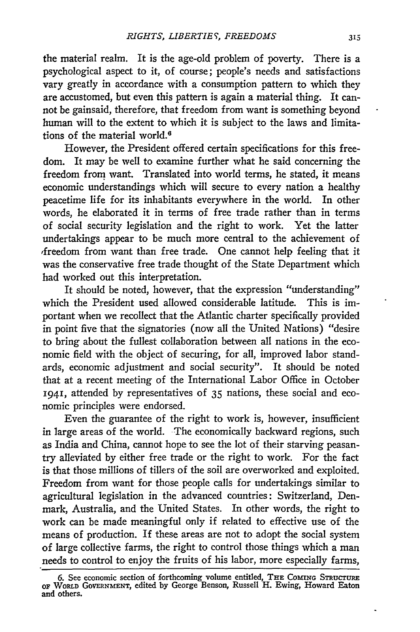the material realm. It is the age-old problem of poverty. There is a psychological aspect to it, of course; people's needs and satisfactions vary greatly in accordance with a consumption pattern to which they are accustomed, but even this pattern is again a material thing. It cannot be gainsaid, therefore, that freedom from want is something beyond human will to the extent to which it is subject to the laws and limitations of the material world.<sup>6</sup>

However, the President offered certain specifications for this freedom. It may be well to examine further what he said concerning the freedom from want. Translated into world terms, he stated, it means economic understandings which will secure to every nation a healthy peacetime life for its inhabitants everywhere in the world. In other words, he elaborated it in terms of free trade rather than in terms of social security legislation and the right to work. Yet the latter undertakings appear to be much more central to the achievement of ,freedom from want than free trade. One cannot help feeling that it was the conservative free trade thought of the State Department which had worked out this interpretation.

It should be noted, however, that the expression "understanding" which the President used allowed considerable latitude. This is important when we recollect that the Atlantic charter specifically provided in point five that the signatories (now all the United Nations) "desire to bring about the fullest collaboration between all nations in the economic field with the object of securing, for all, improved labor standards, economic adjustment and social security". It should be noted that at a recent meeting of the International Labor Office in October 1941, attended by representatives of 35 nations, these social and economic principles were endorsed.

Even the guarantee of the right to work is, however, insufficient in large areas of the world. The economically backward regions, such as India and China, cannot hope to see the lot of their starving peasantry alleviated by either free trade or the right to work. For the fact is that those millions of tillers of the soil are overworked and exploited. Freedom from want for those people calls for undertakings similar to agricultural legislation in the advanced countries: Switzerland, Denmark, Australia, and the United States. In other words, the right to work can be made meaningful only if related to effective use of the means of production. If these areas are not to adopt the social system of large collective farms, the right to control those things which a man needs to control to enjoy the fruits of his labor, more especially farms,

<sup>6.</sup> See economic section of forthcoming volume entitled, THE COMING STRUCTURE OF WORLD GOVERNMENT, edited by George Benson, Russell H. Ewing, Howard Eaton and others.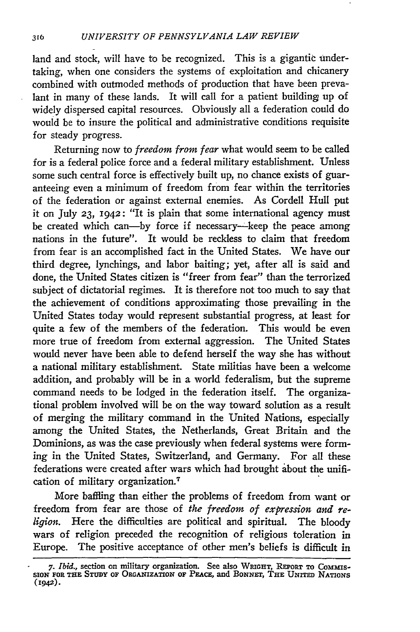land and stock, will have to be recognized. This is a gigantic undertaking, when one considers the systems of exploitation and chicanery combined with outmoded methods of production that have been prevalant in many of these lands. It will call for a patient building up of widely dispersed capital resources. Obviously all a federation could do would be to insure the political and administrative conditions requisite for steady progress.

Returning now to *freedom from fear* what would seem to be called for is a federal police force and a federal military establishment. Unless some such central force is effectively built up, no chance exists of guaranteeing even a minimum of freedom from fear within the territories of the federation or against external enemies. As Cordell Hull put it on July **23, 1942:** "It is plain that some international agency must be created which can-by force if necessary-keep the peace among nations in the future". It would be reckless to claim that freedom from fear is an accomplished fact in the United States. We have our third degree, lynchings, and labor baiting; yet, after all is said and done, the United States citizen is "freer from fear" than the terrorized subject of dictatorial regimes. It is therefore not too much to say that the achievement of conditions approximating those prevailing in the United States today would represent substantial progress, at least for quite a few of the members of the federation. This would be even more true of freedom from external aggression. The United States would never have been able to defend herself the way she has without a national military establishment. State militias have been a welcome addition, and probably will be in a world federalism, but the supreme command needs to be lodged in the federation itself. The organizational problem involved will be on the way toward solution as a result of merging the military command in the United Nations, especially among the United States, the Netherlands, Great Britain and the Dominions, as was the case previously when federal systems were forming in the United States, Switzerland, and Germany. For all these federations were created after wars which had brought about the unification of military organization. <sup>7</sup>

More baffling than either the problems of freedom from want or freedom from fear are those of *the freedom of expression and religion.* Here the difficulties are political and spiritual. The bloody wars of religion preceded the recognition of religious toleration in Europe. The positive acceptance of other men's beliefs is difficult in

*<sup>7.</sup> Ibid.,* section on military organization. See also **WRIGHT, REPORT TO COMIS-SION FOR THE STUDY OF ORGANIZATION OF PEACE,** and **BONNET, THE UNITED NATIONS** (1942).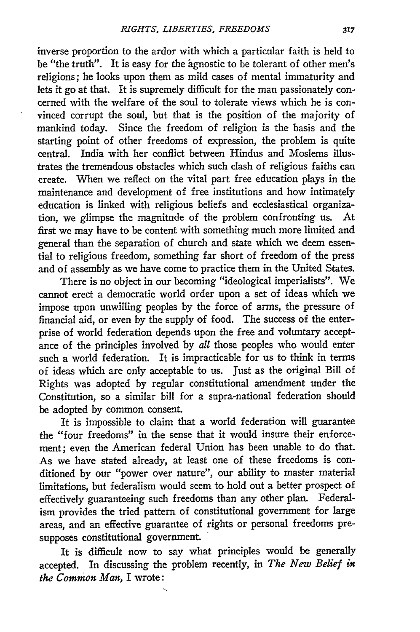inverse proportion to the ardor with which a particular faith is held to be "the truth". It is easy for the agnostic to be tolerant of other men's religions; he looks upon them as mild cases of mental immaturity and lets it go at that. It is supremely difficult for the man passionately concerned with the welfare of the soul to tolerate views which he is convinced corrupt the soul, but that is the position of the majority of mankind today. Since the freedom of religion is the basis and the starting point of other freedoms of expression, the problem is quite central. India with her conflict between Hindus and Moslems illustrates the tremendous obstacles which such clash of religious faiths can create. When we reflect on the vital part free education plays in the maintenance and development of free institutions and how intimately education is linked with religious beliefs and ecclesiastical organization, we glimpse the magnitude of the problem confronting us. At first we may have to be content with something much more limited and general than the separation of church and state which we deem essential to religious freedom, something far short of freedom of the press and of assembly as we have come to practice them in the United States.

There is no object in our becoming "ideological imperialists". We cannot erect a democratic world order upon a set of ideas which we impose upon unwilling peoples **by** the force of arms, the pressure of financial aid, or even **by** the supply of food. The success of the enterprise of world federation depends upon the free and voluntary acceptance of the principles involved **by** *all* those peoples who would enter such a world federation. It is impracticable for us to think in terms of ideas which are only acceptable to us. Just as the original Bill of Rights was adopted **by** regular constitutional amendment under the Constitution, so a similar bill for a supra-national federation should be adopted **by** common consent.

It is impossible to claim that a world federation will guarantee the "four freedoms" in the sense that it would insure their enforcement; even the American federal Union has been unable to do that. As we have stated already, at least one of these freedoms is conditioned **by** our "power over nature", our ability to master material limitations, but federalism would seem to hold out a better prospect of effectively guaranteeing such freedoms than any other plan. Federalism provides the tried pattern of constitutional government for large areas, and an effective guarantee of rights or personal freedoms presupposes constitutional government.

It is difficult now to say what principles would be generally accepted. In discussing the problem recently, in *The New Belief in the Common Man,* I wrote: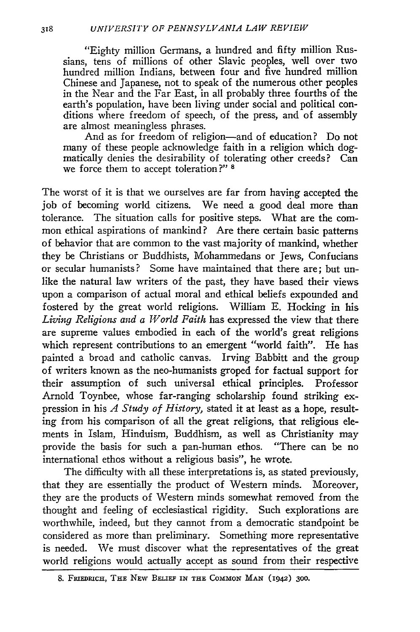"Eighty million Germans, a hundred and fifty million Russians, tens of millions of other Slavic peoples, well over two hundred million Indians, between four and five hundred million Chinese and Japanese, not to speak of the numerous other peoples in the Near and the Far East, in all probably three fourths of the earth's population, have been living under social and political conditions where freedom of speech, of the press, and of assembly are almost meaningless phrases.

And as for freedom of religion-and of education? Do not many of these people acknowledge faith in a religion which dogmatically denies the desirability of tolerating other creeds? Can we force them to accept toleration?" <sup>8</sup>

The worst of it is that we ourselves are far from having accepted the job of becoming world citizens. We need a good deal more than tolerance. The situation calls for positive steps. What are the common ethical aspirations of mankind? Are there certain basic patterns of behavior that are common to the vast majority of mankind, whether they be Christians or Buddhists, Mohammedans or Jews, Confucians or secular humanists? Some have maintained that there are; but unlike the natural law writers of the past, they have based their views upon a comparison of actual moral and ethical beliefs expounded and fostered by the great world religions. William **E.** Hocking in his *Living Religions and a World Faith* has expressed the view that there are supreme values embodied in each of the world's great religions which represent contributions to an emergent "world faith". He has painted a broad and catholic canvas. Irving Babbitt and the group of writers known as the neo-humanists groped for factual support for their assumption of such universal ethical principles. Professor Arnold Toynbee, whose far-ranging scholarship found striking expression in his *A Study of History,* stated it at least as a hope, resulting from his comparison of all the great religions, that religious elements in Islam, Hinduism, Buddhism, as well as Christianity may provide the basis for such a pan-human ethos. "There can be no international ethos without a religious basis", he wrote.

The difficulty with all these interpretations is, as stated previously, that they are essentially the product of Western minds. Moreover, they are the products of Western minds somewhat removed from the thought and feeling of ecclesiastical rigidity. Such explorations are worthwhile, indeed, but they cannot from a democratic standpoint be considered as more than preliminary. Something more representative is needed. We must discover what the representatives of the great world religions would actually accept as sound from their respective

<sup>8.</sup> **FRIEDRicH, THE** NEw BFauEF **IN TE** CoMMoN **MAN** (1942) **300.**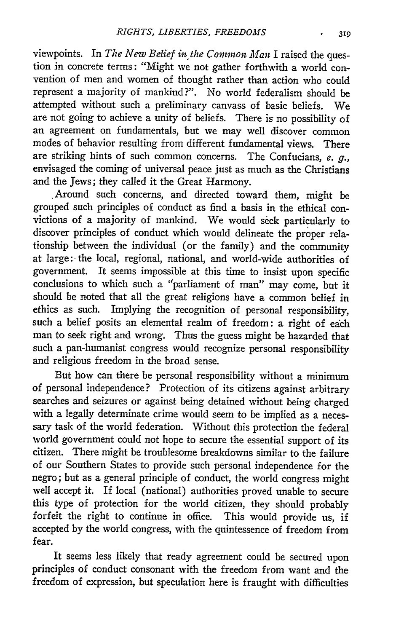viewpoints. In *The New Belief in the Common Man* I raised the question in concrete terms: "Might we not gather forthwith a world convention of men and women of thought rather than action who could represent a majority of mankind?". No world federalism should be attempted without such a preliminary canvass of basic beliefs. We are not going to achieve a unity of beliefs. There is no possibility of an agreement on fundamentals, but we may well discover common modes of behavior resulting from different fundamental views. There are striking hints of such common concerns. The Confucians, *e. 9.* envisaged the coming of universal peace just as much as the Christians and the Jews; they called it the Great Harmony.

.Around such concerns, and directed toward them, might be grouped such principles of conduct as find a basis in the ethical convictions of a majority of mankind. We would seek particularly to discover principles of conduct which would delineate the proper relationship between the individual (or the family) and the community at large: the local, regional, national, and world-wide authorities of government. It seems impossible at this time to insist upon specific conclusions to which such a "parliament of man" may come, but it should be noted that all the great religions have a common belief in ethics as such. Implying the recognition of personal responsibility, such a belief posits an elemental realm of freedom: a right of each man to seek right and wrong. Thus the guess might be hazarded that such a pan-humanist congress would recognize personal responsibility and religious freedom in the broad sense.

But how can there be personal responsibility without a minimum of personal independence? Protection of its citizens against arbitrary searches and seizures or against being detained without being charged with a legally determinate crime would seem to be implied as a necessary task of the world federation. Without this protection the federal world government could not hope to secure the essential support of its citizen. There might be troublesome breakdowns similar to the failure of our Southern States to provide such personal independence for the negro; but as a general principle of conduct, the world congress might well accept it. If local (national) authorities proved unable to secure this type of protection for the world citizen, they should probably forfeit the right to continue in office. This would provide us, if accepted **by** the world congress, with the quintessence of freedom from fear.

It seems less likely that ready agreement could be secured upon principles of conduct consonant with the freedom from want and the freedom of expression, but speculation here is fraught with difficulties